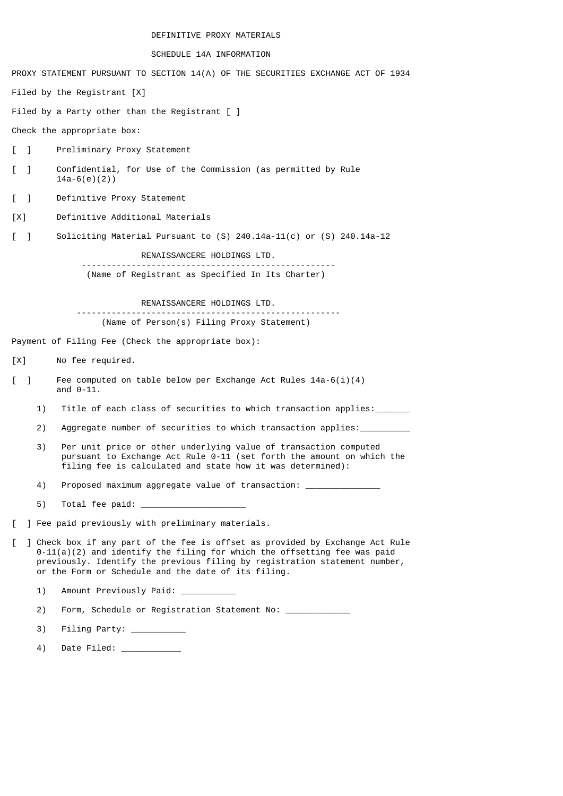## DEFINITIVE PROXY MATERIALS

## SCHEDULE 14A INFORMATION

PROXY STATEMENT PURSUANT TO SECTION 14(A) OF THE SECURITIES EXCHANGE ACT OF 1934 Filed by the Registrant [X] Filed by a Party other than the Registrant [ ] Check the appropriate box: [ ] Preliminary Proxy Statement [ ] Confidential, for Use of the Commission (as permitted by Rule 14a-6(e)(2)) [ ] Definitive Proxy Statement [X] Definitive Additional Materials [ ] Soliciting Material Pursuant to (S) 240.14a-11(c) or (S) 240.14a-12 RENAISSANCERE HOLDINGS LTD. --------------------------------------------------- (Name of Registrant as Specified In Its Charter) RENAISSANCERE HOLDINGS LTD. ----------------------------------------------------- (Name of Person(s) Filing Proxy Statement) Payment of Filing Fee (Check the appropriate box): [X] No fee required. [ ] Fee computed on table below per Exchange Act Rules 14a-6(i)(4) and  $0-11$ . 1) Title of each class of securities to which transaction applies: 2) Aggregate number of securities to which transaction applies: 3) Per unit price or other underlying value of transaction computed pursuant to Exchange Act Rule 0-11 (set forth the amount on which the filing fee is calculated and state how it was determined): 4) Proposed maximum aggregate value of transaction: 5) Total fee paid: [ ] Fee paid previously with preliminary materials. [ ] Check box if any part of the fee is offset as provided by Exchange Act Rule  $0-11(a)(2)$  and identify the filing for which the offsetting fee was paid previously. Identify the previous filing by registration statement number, or the Form or Schedule and the date of its filing. 1) Amount Previously Paid: \_ 2) Form, Schedule or Registration Statement No: \_\_\_\_\_\_\_\_\_\_\_ 3) Filing Party:

4) Date Filed: \_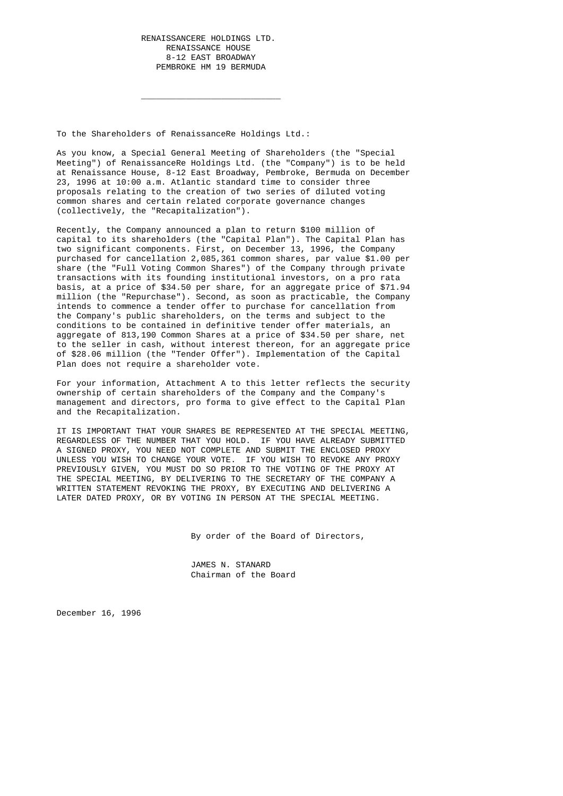To the Shareholders of RenaissanceRe Holdings Ltd.:

\_\_\_\_\_\_\_\_\_\_\_\_\_\_\_\_\_\_\_\_\_\_\_\_\_\_\_\_

 As you know, a Special General Meeting of Shareholders (the "Special Meeting") of RenaissanceRe Holdings Ltd. (the "Company") is to be held at Renaissance House, 8-12 East Broadway, Pembroke, Bermuda on December 23, 1996 at 10:00 a.m. Atlantic standard time to consider three proposals relating to the creation of two series of diluted voting common shares and certain related corporate governance changes (collectively, the "Recapitalization").

 Recently, the Company announced a plan to return \$100 million of capital to its shareholders (the "Capital Plan"). The Capital Plan has two significant components. First, on December 13, 1996, the Company purchased for cancellation 2,085,361 common shares, par value \$1.00 per share (the "Full Voting Common Shares") of the Company through private transactions with its founding institutional investors, on a pro rata basis, at a price of \$34.50 per share, for an aggregate price of \$71.94 million (the "Repurchase"). Second, as soon as practicable, the Company intends to commence a tender offer to purchase for cancellation from the Company's public shareholders, on the terms and subject to the conditions to be contained in definitive tender offer materials, an aggregate of 813,190 Common Shares at a price of \$34.50 per share, net to the seller in cash, without interest thereon, for an aggregate price of \$28.06 million (the "Tender Offer"). Implementation of the Capital Plan does not require a shareholder vote.

> For your information, Attachment A to this letter reflects the security ownership of certain shareholders of the Company and the Company's management and directors, pro forma to give effect to the Capital Plan and the Recapitalization.

> IT IS IMPORTANT THAT YOUR SHARES BE REPRESENTED AT THE SPECIAL MEETING, REGARDLESS OF THE NUMBER THAT YOU HOLD. IF YOU HAVE ALREADY SUBMITTED A SIGNED PROXY, YOU NEED NOT COMPLETE AND SUBMIT THE ENCLOSED PROXY UNLESS YOU WISH TO CHANGE YOUR VOTE. IF YOU WISH TO REVOKE ANY PROXY PREVIOUSLY GIVEN, YOU MUST DO SO PRIOR TO THE VOTING OF THE PROXY AT THE SPECIAL MEETING, BY DELIVERING TO THE SECRETARY OF THE COMPANY A WRITTEN STATEMENT REVOKING THE PROXY, BY EXECUTING AND DELIVERING A LATER DATED PROXY, OR BY VOTING IN PERSON AT THE SPECIAL MEETING.

> > By order of the Board of Directors,

 JAMES N. STANARD Chairman of the Board

December 16, 1996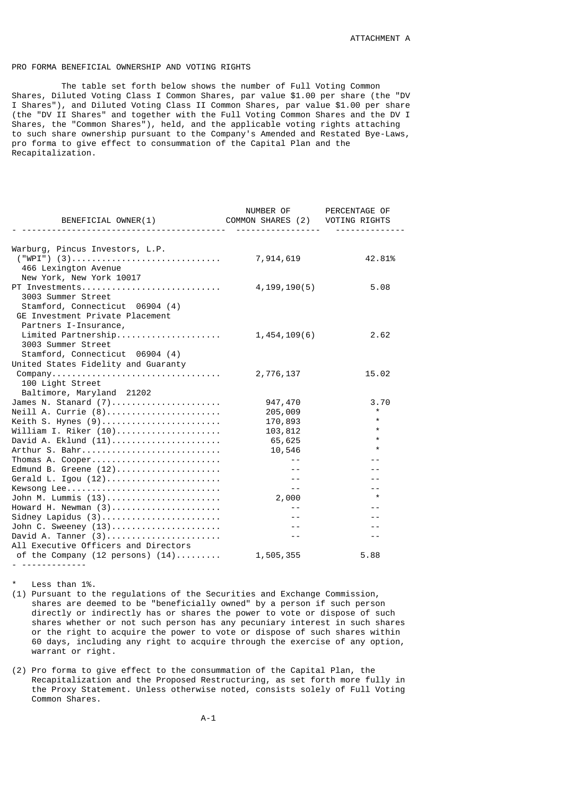## PRO FORMA BENEFICIAL OWNERSHIP AND VOTING RIGHTS

 The table set forth below shows the number of Full Voting Common Shares, Diluted Voting Class I Common Shares, par value \$1.00 per share (the "DV I Shares"), and Diluted Voting Class II Common Shares, par value \$1.00 per share (the "DV II Shares" and together with the Full Voting Common Shares and the DV I Shares, the "Common Shares"), held, and the applicable voting rights attaching to such share ownership pursuant to the Company's Amended and Restated Bye-Laws, pro forma to give effect to consummation of the Capital Plan and the Recapitalization.

| BENEFICIAL OWNER(1)                  | NUMBER OF PERCENTAGE OF<br>COMMON SHARES (2) VOTING RIGHTS |         |
|--------------------------------------|------------------------------------------------------------|---------|
| -------------------                  | .                                                          |         |
|                                      |                                                            |         |
| Warburg, Pincus Investors, L.P.      |                                                            |         |
|                                      | 7,914,619                                                  | 42.81%  |
| 466 Lexington Avenue                 |                                                            |         |
| New York, New York 10017             |                                                            |         |
| PT Investments                       | 4, 199, 190(5)                                             | 5.08    |
| 3003 Summer Street                   |                                                            |         |
| Stamford, Connecticut 06904 (4)      |                                                            |         |
| GE Investment Private Placement      |                                                            |         |
| Partners I-Insurance,                |                                                            |         |
| Limited Partnership                  | 1,454,109(6)                                               | 2.62    |
| 3003 Summer Street                   |                                                            |         |
| Stamford, Connecticut 06904 (4)      |                                                            |         |
| United States Fidelity and Guaranty  |                                                            |         |
|                                      | 2,776,137                                                  | 15.02   |
| 100 Light Street                     |                                                            |         |
| Baltimore, Maryland 21202            |                                                            |         |
| James N. Stanard $(7)$               | 947,470                                                    | 3.70    |
| Neill A. Currie (8)                  | 205,009                                                    | $\star$ |
| Keith S. Hynes (9)                   | 170,893                                                    | $\star$ |
| William I. Riker (10)                | 103,812                                                    | $\star$ |
| David A. Eklund $(11)$               | 65,625                                                     | $\star$ |
| Arthur S. Bahr                       | 10,546                                                     | $\star$ |
| Thomas A. Cooper                     | $\sim 100$ m $^{-1}$                                       | $- -$   |
| Edmund B. Greene $(12)$              | $ -$                                                       | $- -$   |
| Gerald L. Igou $(12)$                | $\sim$ $-$                                                 | $ -$    |
| Kewsong Lee                          | $\sim$ $\sim$                                              | $ -$    |
| John M. Lummis (13)                  | 2,000                                                      | $\star$ |
| Howard H. Newman (3)                 | $- -$                                                      | $- -$   |
|                                      | $- -$                                                      | $ -$    |
| John C. Sweeney (13)                 | $\sim$ $\sim$                                              | $ -$    |
| David A. Tanner $(3)$                | $ -$                                                       | $ -$    |
| All Executive Officers and Directors |                                                            |         |
| of the Company (12 persons) $(14)$   | 1,505,355                                                  | 5.88    |
| .                                    |                                                            |         |

Less than 1%.

(1) Pursuant to the regulations of the Securities and Exchange Commission, shares are deemed to be "beneficially owned" by a person if such person directly or indirectly has or shares the power to vote or dispose of such shares whether or not such person has any pecuniary interest in such shares or the right to acquire the power to vote or dispose of such shares within 60 days, including any right to acquire through the exercise of any option, warrant or right.

(2) Pro forma to give effect to the consummation of the Capital Plan, the Recapitalization and the Proposed Restructuring, as set forth more fully in the Proxy Statement. Unless otherwise noted, consists solely of Full Voting Common Shares.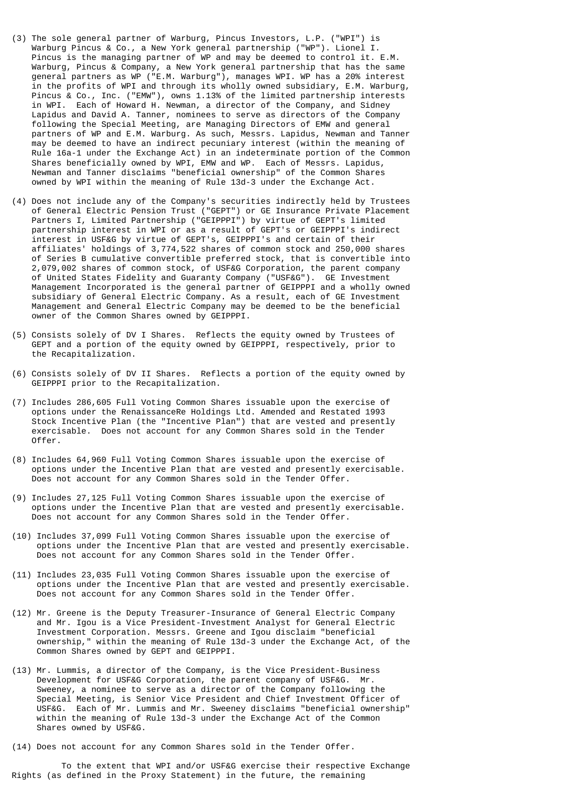- (3) The sole general partner of Warburg, Pincus Investors, L.P. ("WPI") is Warburg Pincus & Co., a New York general partnership ("WP"). Lionel I. Pincus is the managing partner of WP and may be deemed to control it. E.M. Warburg, Pincus & Company, a New York general partnership that has the same general partners as WP ("E.M. Warburg"), manages WPI. WP has a 20% interest in the profits of WPI and through its wholly owned subsidiary, E.M. Warburg, Pincus & Co., Inc. ("EMW"), owns 1.13% of the limited partnership interests in WPI. Each of Howard H. Newman, a director of the Company, and Sidney Lapidus and David A. Tanner, nominees to serve as directors of the Company following the Special Meeting, are Managing Directors of EMW and general partners of WP and E.M. Warburg. As such, Messrs. Lapidus, Newman and Tanner may be deemed to have an indirect pecuniary interest (within the meaning of Rule 16a-1 under the Exchange Act) in an indeterminate portion of the Common Shares beneficially owned by WPI, EMW and WP. Each of Messrs. Lapidus, Newman and Tanner disclaims "beneficial ownership" of the Common Shares owned by WPI within the meaning of Rule 13d-3 under the Exchange Act.
- (4) Does not include any of the Company's securities indirectly held by Trustees of General Electric Pension Trust ("GEPT") or GE Insurance Private Placement Partners I, Limited Partnership ("GEIPPPI") by virtue of GEPT's limited partnership interest in WPI or as a result of GEPT's or GEIPPPI's indirect interest in USF&G by virtue of GEPT's, GEIPPPI's and certain of their affiliates' holdings of 3,774,522 shares of common stock and 250,000 shares of Series B cumulative convertible preferred stock, that is convertible into 2,079,002 shares of common stock, of USF&G Corporation, the parent company of United States Fidelity and Guaranty Company ("USF&G"). GE Investment Management Incorporated is the general partner of GEIPPPI and a wholly owned subsidiary of General Electric Company. As a result, each of GE Investment Management and General Electric Company may be deemed to be the beneficial owner of the Common Shares owned by GEIPPPI.
- (5) Consists solely of DV I Shares. Reflects the equity owned by Trustees of GEPT and a portion of the equity owned by GEIPPPI, respectively, prior to the Recapitalization.
- (6) Consists solely of DV II Shares. Reflects a portion of the equity owned by GEIPPPI prior to the Recapitalization.
- (7) Includes 286,605 Full Voting Common Shares issuable upon the exercise of options under the RenaissanceRe Holdings Ltd. Amended and Restated 1993 Stock Incentive Plan (the "Incentive Plan") that are vested and presently exercisable. Does not account for any Common Shares sold in the Tender Offer.
- (8) Includes 64,960 Full Voting Common Shares issuable upon the exercise of options under the Incentive Plan that are vested and presently exercisable. Does not account for any Common Shares sold in the Tender Offer.
- (9) Includes 27,125 Full Voting Common Shares issuable upon the exercise of options under the Incentive Plan that are vested and presently exercisable. Does not account for any Common Shares sold in the Tender Offer.
- (10) Includes 37,099 Full Voting Common Shares issuable upon the exercise of options under the Incentive Plan that are vested and presently exercisable. Does not account for any Common Shares sold in the Tender Offer.
- (11) Includes 23,035 Full Voting Common Shares issuable upon the exercise of options under the Incentive Plan that are vested and presently exercisable. Does not account for any Common Shares sold in the Tender Offer.
- (12) Mr. Greene is the Deputy Treasurer-Insurance of General Electric Company and Mr. Igou is a Vice President-Investment Analyst for General Electric Investment Corporation. Messrs. Greene and Igou disclaim "beneficial ownership," within the meaning of Rule 13d-3 under the Exchange Act, of the Common Shares owned by GEPT and GEIPPPI.
- (13) Mr. Lummis, a director of the Company, is the Vice President-Business Development for USF&G Corporation, the parent company of USF&G. Mr. Sweeney, a nominee to serve as a director of the Company following the Special Meeting, is Senior Vice President and Chief Investment Officer of USF&G. Each of Mr. Lummis and Mr. Sweeney disclaims "beneficial ownership" within the meaning of Rule 13d-3 under the Exchange Act of the Common Shares owned by USF&G.
- (14) Does not account for any Common Shares sold in the Tender Offer.

 To the extent that WPI and/or USF&G exercise their respective Exchange Rights (as defined in the Proxy Statement) in the future, the remaining